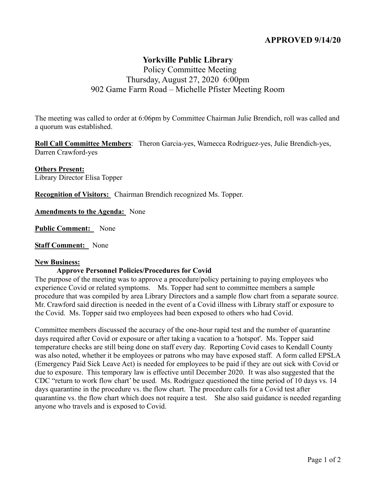# **APPROVED 9/14/20**

# **Yorkville Public Library**

# Policy Committee Meeting Thursday, August 27, 2020 6:00pm 902 Game Farm Road – Michelle Pfister Meeting Room

The meeting was called to order at 6:06pm by Committee Chairman Julie Brendich, roll was called and a quorum was established.

**Roll Call Committee Members**: Theron Garcia-yes, Wamecca Rodriguez-yes, Julie Brendich-yes, Darren Crawford-yes

**Others Present:** Library Director Elisa Topper

**Recognition of Visitors:** Chairman Brendich recognized Ms. Topper.

**Amendments to the Agenda:** None

**Public Comment:** None

**Staff Comment:** None

#### **New Business:**

#### **Approve Personnel Policies/Procedures for Covid**

The purpose of the meeting was to approve a procedure/policy pertaining to paying employees who experience Covid or related symptoms. Ms. Topper had sent to committee members a sample procedure that was compiled by area Library Directors and a sample flow chart from a separate source. Mr. Crawford said direction is needed in the event of a Covid illness with Library staff or exposure to the Covid. Ms. Topper said two employees had been exposed to others who had Covid.

Committee members discussed the accuracy of the one-hour rapid test and the number of quarantine days required after Covid or exposure or after taking a vacation to a 'hotspot'. Ms. Topper said temperature checks are still being done on staff every day. Reporting Covid cases to Kendall County was also noted, whether it be employees or patrons who may have exposed staff. A form called EPSLA (Emergency Paid Sick Leave Act) is needed for employees to be paid if they are out sick with Covid or due to exposure. This temporary law is effective until December 2020. It was also suggested that the CDC "return to work flow chart' be used. Ms. Rodriguez questioned the time period of 10 days vs. 14 days quarantine in the procedure vs. the flow chart. The procedure calls for a Covid test after quarantine vs. the flow chart which does not require a test. She also said guidance is needed regarding anyone who travels and is exposed to Covid.